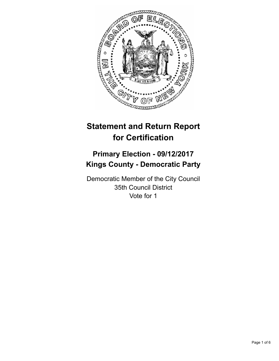

# **Statement and Return Report for Certification**

## **Primary Election - 09/12/2017 Kings County - Democratic Party**

Democratic Member of the City Council 35th Council District Vote for 1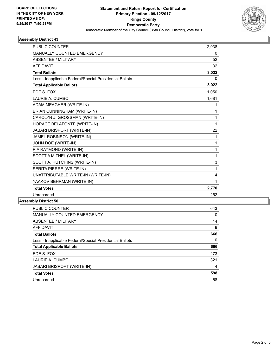

#### **Assembly District 43**

| <b>PUBLIC COUNTER</b>                                    | 2,938 |
|----------------------------------------------------------|-------|
| MANUALLY COUNTED EMERGENCY                               | 0     |
| <b>ABSENTEE / MILITARY</b>                               | 52    |
| <b>AFFIDAVIT</b>                                         | 32    |
| <b>Total Ballots</b>                                     | 3,022 |
| Less - Inapplicable Federal/Special Presidential Ballots | 0     |
| <b>Total Applicable Ballots</b>                          | 3,022 |
| EDE S. FOX                                               | 1,050 |
| LAURIE A. CUMBO                                          | 1,681 |
| ADAM MEAGHER (WRITE-IN)                                  | 1     |
| BRIAN CUNNINGHAM (WRITE-IN)                              | 1     |
| CAROLYN J. GROSSMAN (WRITE-IN)                           | 1     |
| HORACE BELAFONTE (WRITE-IN)                              | 1     |
| JABARI BRISPORT (WRITE-IN)                               | 22    |
| JAMEL ROBINSON (WRITE-IN)                                | 1     |
| JOHN DOE (WRITE-IN)                                      | 1     |
| PIA RAYMOND (WRITE-IN)                                   | 1     |
| SCOTT A MITHEL (WRITE-IN)                                | 1     |
| SCOTT A. HUTCHINS (WRITE-IN)                             | 3     |
| SERITA PIERRE (WRITE-IN)                                 | 1     |
| UNATTRIBUTABLE WRITE-IN (WRITE-IN)                       | 4     |
| YAAKOV BEHRMAN (WRITE-IN)                                | 1     |
| <b>Total Votes</b>                                       | 2,770 |
| Unrecorded                                               | 252   |

### **Assembly District 50**

| <b>PUBLIC COUNTER</b>                                    | 643 |
|----------------------------------------------------------|-----|
| <b>MANUALLY COUNTED EMERGENCY</b>                        | 0   |
| ABSENTEE / MILITARY                                      | 14  |
| <b>AFFIDAVIT</b>                                         | 9   |
| <b>Total Ballots</b>                                     | 666 |
| Less - Inapplicable Federal/Special Presidential Ballots | 0   |
| <b>Total Applicable Ballots</b>                          | 666 |
| EDE S. FOX                                               | 273 |
| LAURIE A. CUMBO                                          | 321 |
| JABARI BRISPORT (WRITE-IN)                               | 4   |
| <b>Total Votes</b>                                       | 598 |
| Unrecorded                                               | 68  |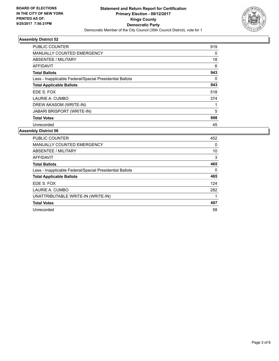

#### **Assembly District 52**

| <b>PUBLIC COUNTER</b>                                    | 919 |
|----------------------------------------------------------|-----|
| <b>MANUALLY COUNTED EMERGENCY</b>                        | 0   |
| ABSENTEE / MILITARY                                      | 18  |
| AFFIDAVIT                                                | 6   |
| <b>Total Ballots</b>                                     | 943 |
| Less - Inapplicable Federal/Special Presidential Ballots | 0   |
| <b>Total Applicable Ballots</b>                          | 943 |
| EDE S. FOX                                               | 518 |
| LAURIE A. CUMBO                                          | 374 |
| DREW AKASOM (WRITE-IN)                                   |     |
| <b>JABARI BRISPORT (WRITE-IN)</b>                        | 5   |
| <b>Total Votes</b>                                       | 898 |
| Unrecorded                                               | 45  |

#### **Assembly District 56**

| <b>PUBLIC COUNTER</b>                                    | 452 |
|----------------------------------------------------------|-----|
| <b>MANUALLY COUNTED EMERGENCY</b>                        | 0   |
| ABSENTEE / MILITARY                                      | 10  |
| AFFIDAVIT                                                | 3   |
| <b>Total Ballots</b>                                     | 465 |
| Less - Inapplicable Federal/Special Presidential Ballots | 0   |
| <b>Total Applicable Ballots</b>                          | 465 |
| EDE S. FOX                                               | 124 |
| LAURIE A. CUMBO                                          | 282 |
| UNATTRIBUTABLE WRITE-IN (WRITE-IN)                       |     |
| <b>Total Votes</b>                                       | 407 |
| Unrecorded                                               | 58  |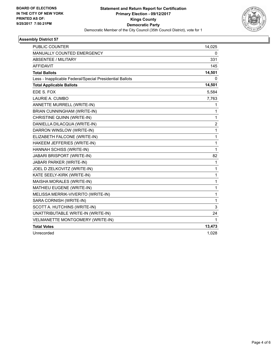

#### **Assembly District 57**

| PUBLIC COUNTER                                           | 14,025                  |
|----------------------------------------------------------|-------------------------|
| <b>MANUALLY COUNTED EMERGENCY</b>                        | 0                       |
| ABSENTEE / MILITARY                                      | 331                     |
| <b>AFFIDAVIT</b>                                         | 145                     |
| <b>Total Ballots</b>                                     | 14,501                  |
| Less - Inapplicable Federal/Special Presidential Ballots | 0                       |
| <b>Total Applicable Ballots</b>                          | 14,501                  |
| EDE S. FOX                                               | 5,584                   |
| LAURIE A. CUMBO                                          | 7,763                   |
| ANNETTE MURRELL (WRITE-IN)                               | 1                       |
| BRIAN CUNNINGHAM (WRITE-IN)                              | 1                       |
| CHRISTINE QUINN (WRITE-IN)                               | 1                       |
| DANIELLA DILACQUA (WRITE-IN)                             | $\overline{\mathbf{c}}$ |
| DARRON WINSLOW (WRITE-IN)                                | 1                       |
| ELIZABETH FALCONE (WRITE-IN)                             | 1                       |
| HAKEEM JEFFERIES (WRITE-IN)                              | 1                       |
| HANNAH SCHISS (WRITE-IN)                                 | 1                       |
| JABARI BRISPORT (WRITE-IN)                               | 82                      |
| JABARI PARKER (WRITE-IN)                                 | 1                       |
| JOEL D ZELKOVITZ (WRITE-IN)                              | 1                       |
| KATE SEELY-KIRK (WRITE-IN)                               | 1                       |
| MAISHA MORALES (WRITE-IN)                                | 1                       |
| MATHIEU EUGENE (WRITE-IN)                                | 1                       |
| MELISSA MERRIK-VIVERITO (WRITE-IN)                       | 1                       |
| SARA CORNISH (WRITE-IN)                                  | 1                       |
| SCOTT A. HUTCHINS (WRITE-IN)                             | 3                       |
| UNATTRIBUTABLE WRITE-IN (WRITE-IN)                       | 24                      |
| VELMANETTE MONTGOMERY (WRITE-IN)                         | 1                       |
| <b>Total Votes</b>                                       | 13,473                  |
| Unrecorded                                               | 1,028                   |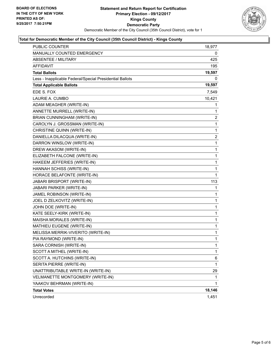

#### **Total for Democratic Member of the City Council (35th Council District) - Kings County**

| PUBLIC COUNTER                                           | 18,977                  |
|----------------------------------------------------------|-------------------------|
| MANUALLY COUNTED EMERGENCY                               | 0                       |
| <b>ABSENTEE / MILITARY</b>                               | 425                     |
| <b>AFFIDAVIT</b>                                         | 195                     |
| <b>Total Ballots</b>                                     | 19,597                  |
| Less - Inapplicable Federal/Special Presidential Ballots | 0                       |
| <b>Total Applicable Ballots</b>                          | 19,597                  |
| EDE S. FOX                                               | 7,549                   |
| LAURIE A. CUMBO                                          | 10,421                  |
| ADAM MEAGHER (WRITE-IN)                                  | 1                       |
| ANNETTE MURRELL (WRITE-IN)                               | 1                       |
| BRIAN CUNNINGHAM (WRITE-IN)                              | 2                       |
| CAROLYN J. GROSSMAN (WRITE-IN)                           | $\mathbf{1}$            |
| CHRISTINE QUINN (WRITE-IN)                               | 1                       |
| DANIELLA DILACQUA (WRITE-IN)                             | $\overline{\mathbf{c}}$ |
| DARRON WINSLOW (WRITE-IN)                                | 1                       |
| DREW AKASOM (WRITE-IN)                                   | 1                       |
| ELIZABETH FALCONE (WRITE-IN)                             | 1                       |
| HAKEEM JEFFERIES (WRITE-IN)                              | 1                       |
| HANNAH SCHISS (WRITE-IN)                                 | 1                       |
| HORACE BELAFONTE (WRITE-IN)                              | $\mathbf{1}$            |
| JABARI BRISPORT (WRITE-IN)                               | 113                     |
| JABARI PARKER (WRITE-IN)                                 | 1                       |
| JAMEL ROBINSON (WRITE-IN)                                | 1                       |
| JOEL D ZELKOVITZ (WRITE-IN)                              | 1                       |
| JOHN DOE (WRITE-IN)                                      | 1                       |
| KATE SEELY-KIRK (WRITE-IN)                               | 1                       |
| MAISHA MORALES (WRITE-IN)                                | 1                       |
| MATHIEU EUGENE (WRITE-IN)                                | 1                       |
| MELISSA MERRIK-VIVERITO (WRITE-IN)                       | 1                       |
| PIA RAYMOND (WRITE-IN)                                   | $\mathbf{1}$            |
| SARA CORNISH (WRITE-IN)                                  | 1                       |
| SCOTT A MITHEL (WRITE-IN)                                | 1                       |
| SCOTT A. HUTCHINS (WRITE-IN)                             | 6                       |
| SERITA PIERRE (WRITE-IN)                                 | 1                       |
| UNATTRIBUTABLE WRITE-IN (WRITE-IN)                       | 29                      |
| VELMANETTE MONTGOMERY (WRITE-IN)                         | 1                       |
| YAAKOV BEHRMAN (WRITE-IN)                                | 1                       |
| <b>Total Votes</b>                                       | 18,146                  |
| Unrecorded                                               | 1,451                   |